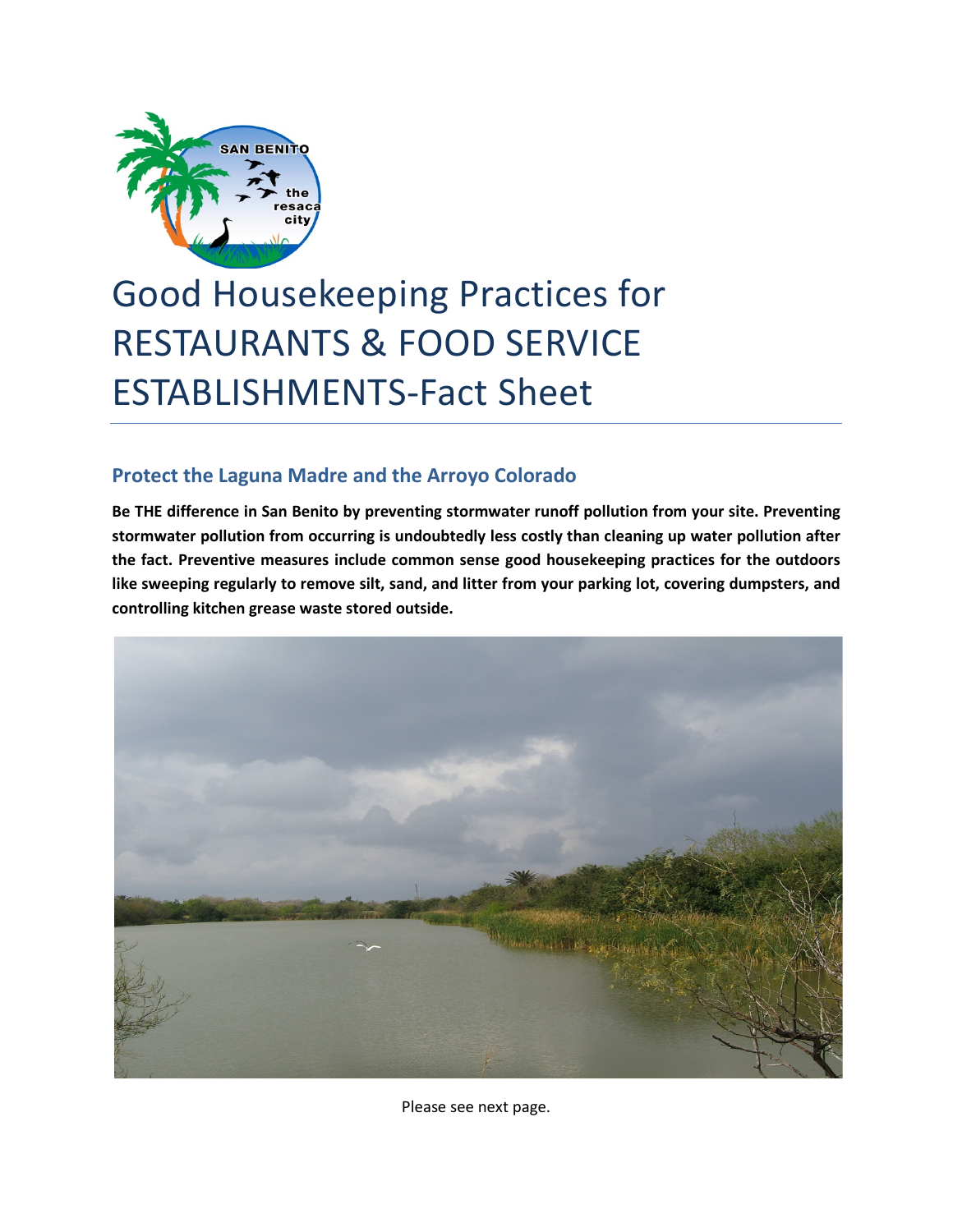

## Good Housekeeping Practices for RESTAURANTS & FOOD SERVICE ESTABLISHMENTS-Fact Sheet

## **Protect the Laguna Madre and the Arroyo Colorado**

**Be THE difference in San Benito by preventing stormwater runoff pollution from your site. Preventing stormwater pollution from occurring is undoubtedly less costly than cleaning up water pollution after the fact. Preventive measures include common sense good housekeeping practices for the outdoors like sweeping regularly to remove silt, sand, and litter from your parking lot, covering dumpsters, and controlling kitchen grease waste stored outside.**



Please see next page.